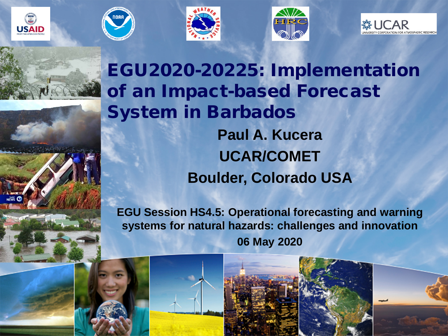









EGU2020-20225: Implementation of an Impact-based Forecast System in Barbados **Paul A. Kucera UCAR/COMET Boulder, Colorado USA**

**EGU Session HS4.5: Operational forecasting and warning systems for natural hazards: challenges and innovation 06 May 2020**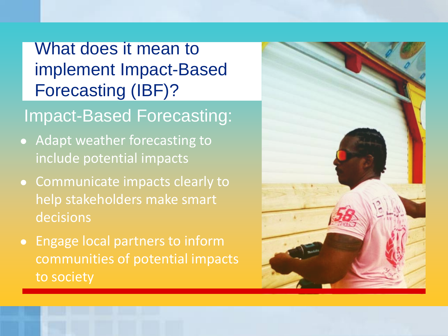### What does it mean to implement Impact-Based Forecasting (IBF)?

#### Impact-Based Forecasting:

- Adapt weather forecasting to include potential impacts
- Communicate impacts clearly to help stakeholders make smart decisions
- Engage local partners to inform communities of potential impacts to society

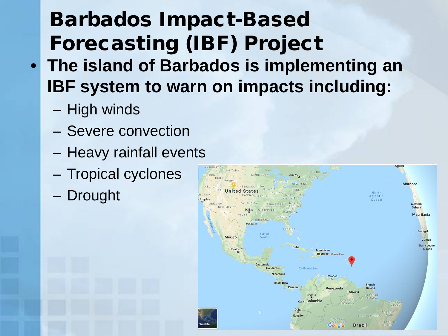# Barbados Impact-Based Forecasting (IBF) Project • **The island of Barbados is implementing an IBF system to warn on impacts including:**

- High winds
- Severe convection
- Heavy rainfall events
- Tropical cyclones
- Drought

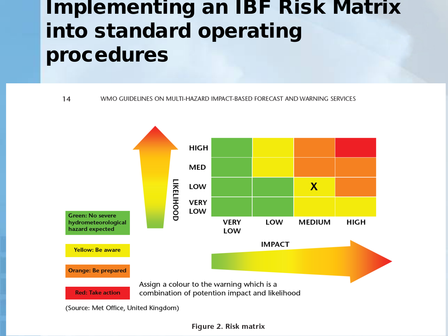# Implementing an IBF Risk Matrix into standard operating procedures

14 WMO GUIDELINES ON MULTI-HAZARD IMPACT-BASED FORECAST AND WARNING SERVICES



Figure 2. Risk matrix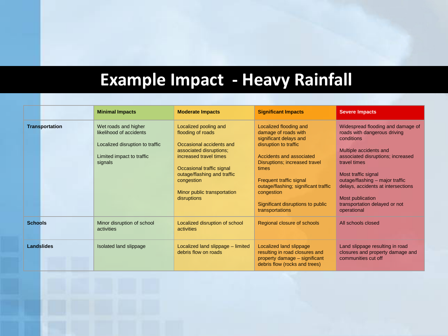## **Example Impact - Heavy Rainfall**

|                       | <b>Minimal Impacts</b>                                                                                                     | <b>Moderate Impacts</b>                                                                                                                                                                                                                             | <b>Significant Impacts</b>                                                                                                                                                                                                                                                                                       | <b>Severe Impacts</b>                                                                                                                                                                                                                                                                                                              |
|-----------------------|----------------------------------------------------------------------------------------------------------------------------|-----------------------------------------------------------------------------------------------------------------------------------------------------------------------------------------------------------------------------------------------------|------------------------------------------------------------------------------------------------------------------------------------------------------------------------------------------------------------------------------------------------------------------------------------------------------------------|------------------------------------------------------------------------------------------------------------------------------------------------------------------------------------------------------------------------------------------------------------------------------------------------------------------------------------|
| <b>Transportation</b> | Wet roads and higher<br>likelihood of accidents<br>Localized disruption to traffic<br>Limited impact to traffic<br>signals | Localized pooling and<br>flooding of roads<br>Occasional accidents and<br>associated disruptions;<br>increased travel times<br>Occasional traffic signal<br>outage/flashing and traffic<br>congestion<br>Minor public transportation<br>disruptions | Localized flooding and<br>damage of roads with<br>significant delays and<br>disruption to traffic<br>Accidents and associated<br>Disruptions; increased travel<br>times<br>Frequent traffic signal<br>outage/flashing; significant traffic<br>congestion<br>Significant disruptions to public<br>transportations | Widespread flooding and damage of<br>roads with dangerous driving<br>conditions<br>Multiple accidents and<br>associated disruptions; increased<br>travel times<br>Most traffic signal<br>outage/flashing - major traffic<br>delays, accidents at intersections<br>Most publication<br>transportation delayed or not<br>operational |
| <b>Schools</b>        | Minor disruption of school<br>activities                                                                                   | Localized disruption of school<br>activities                                                                                                                                                                                                        | Regional closure of schools                                                                                                                                                                                                                                                                                      | All schools closed                                                                                                                                                                                                                                                                                                                 |
| <b>Landslides</b>     | Isolated land slippage                                                                                                     | Localized land slippage – limited<br>debris flow on roads                                                                                                                                                                                           | Localized land slippage<br>resulting in road closures and<br>property damage - significant<br>debris flow (rocks and trees)                                                                                                                                                                                      | Land slippage resulting in road<br>closures and property damage and<br>communities cut off                                                                                                                                                                                                                                         |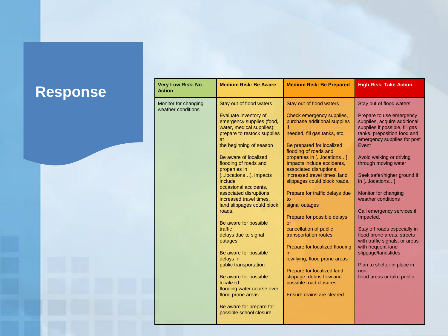#### $Response$

| <b>Very Low Risk: No</b><br><b>Action</b>  | <b>Medium Risk: Be Aware</b>                                                                                                                                                                                                                                                                                                                                                                                                                                                                                                                                                                                                                                                                   | <b>Medium Risk: Be Prepared</b>                                                                                                                                                                                                                                                                                                                                                                                                                                                                                                                                                                                                                                                         | <b>High Risk: Take Action</b>                                                                                                                                                                                                                                                                                                                                                                                                                                                                                                                                                                                  |
|--------------------------------------------|------------------------------------------------------------------------------------------------------------------------------------------------------------------------------------------------------------------------------------------------------------------------------------------------------------------------------------------------------------------------------------------------------------------------------------------------------------------------------------------------------------------------------------------------------------------------------------------------------------------------------------------------------------------------------------------------|-----------------------------------------------------------------------------------------------------------------------------------------------------------------------------------------------------------------------------------------------------------------------------------------------------------------------------------------------------------------------------------------------------------------------------------------------------------------------------------------------------------------------------------------------------------------------------------------------------------------------------------------------------------------------------------------|----------------------------------------------------------------------------------------------------------------------------------------------------------------------------------------------------------------------------------------------------------------------------------------------------------------------------------------------------------------------------------------------------------------------------------------------------------------------------------------------------------------------------------------------------------------------------------------------------------------|
| Monitor for changing<br>weather conditions | Stay out of flood waters<br>Evaluate inventory of<br>emergency supplies (food,<br>water, medical supplies);<br>prepare to restock supplies<br>at<br>the beginning of season<br>Be aware of localized<br>flooding of roads and<br>properties in<br>[locations]. Impacts<br>include<br>occasional accidents,<br>associated disruptions,<br>increased travel times.<br>land slippages could block<br>roads.<br>Be aware for possible<br>traffic<br>delays due to signal<br>outages<br>Be aware for possible<br>delays in<br>public transportation<br>Be aware for possible<br>localized<br>flooding water course over<br>flood prone areas<br>Be aware for prepare for<br>possible school closure | Stay out of flood waters<br>Check emergency supplies.<br>purchase additional supplies<br>if.<br>needed, fill gas tanks, etc.<br>Be prepared for localized<br>flooding of roads and<br>properties in [locations].<br>Impacts include accidents,<br>associated disruptions,<br>increased travel times. land<br>slippages could block roads.<br>Prepare for traffic delays due<br>to<br>signal outages<br>Prepare for possible delays<br>or<br>cancellation of public<br>transportation routes<br>Prepare for localized flooding<br>in.<br>low-lying, flood prone areas<br>Prepare for localized land<br>slippage, debris flow and<br>possible road closures<br>Ensure drains are cleared. | Stay out of flood waters<br>Prepare to use emergency<br>supplies, acquire additional<br>supplies if possible, fill gas<br>tanks, preposition food and<br>emergency supplies for post<br>Event<br>Avoid walking or driving<br>through moving water<br>Seek safer/higher ground if<br>in [locations].<br>Monitor for changing<br>weather conditions<br>Call emergency services if<br>Impacted.<br>Stay off roads especially in<br>flood prone areas, streets<br>with traffic signals, or areas<br>with frequent land<br>slippage/landslides<br>Plan to shelter in place in<br>non-<br>flood areas or take public |